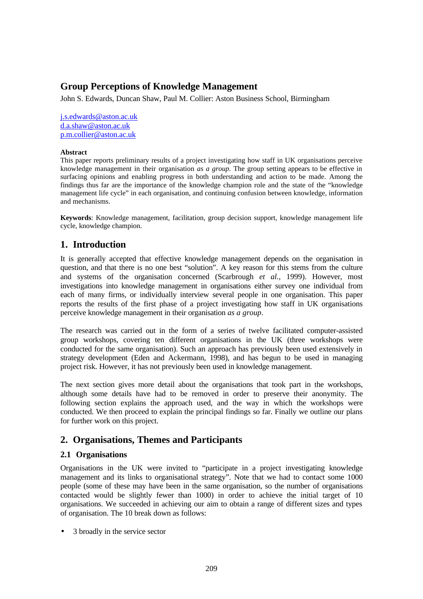# **Group Perceptions of Knowledge Management**

John S. Edwards, Duncan Shaw, Paul M. Collier: Aston Business School, Birmingham

j.s.edwards@aston.ac.uk d.a.shaw@aston.ac.uk p.m.collier@aston.ac.uk

#### **Abstract**

This paper reports preliminary results of a project investigating how staff in UK organisations perceive knowledge management in their organisation *as a group*. The group setting appears to be effective in surfacing opinions and enabling progress in both understanding and action to be made. Among the findings thus far are the importance of the knowledge champion role and the state of the "knowledge management life cycle" in each organisation, and continuing confusion between knowledge, information and mechanisms.

**Keywords**: Knowledge management, facilitation, group decision support, knowledge management life cycle, knowledge champion.

## **1. Introduction**

It is generally accepted that effective knowledge management depends on the organisation in question, and that there is no one best "solution". A key reason for this stems from the culture and systems of the organisation concerned (Scarbrough *et al.*, 1999). However, most investigations into knowledge management in organisations either survey one individual from each of many firms, or individually interview several people in one organisation. This paper reports the results of the first phase of a project investigating how staff in UK organisations perceive knowledge management in their organisation *as a group*.

The research was carried out in the form of a series of twelve facilitated computer-assisted group workshops, covering ten different organisations in the UK (three workshops were conducted for the same organisation). Such an approach has previously been used extensively in strategy development (Eden and Ackermann, 1998), and has begun to be used in managing project risk. However, it has not previously been used in knowledge management.

The next section gives more detail about the organisations that took part in the workshops, although some details have had to be removed in order to preserve their anonymity. The following section explains the approach used, and the way in which the workshops were conducted. We then proceed to explain the principal findings so far. Finally we outline our plans for further work on this project.

# **2. Organisations, Themes and Participants**

### **2.1 Organisations**

Organisations in the UK were invited to "participate in a project investigating knowledge management and its links to organisational strategy". Note that we had to contact some 1000 people (some of these may have been in the same organisation, so the number of organisations contacted would be slightly fewer than 1000) in order to achieve the initial target of 10 organisations. We succeeded in achieving our aim to obtain a range of different sizes and types of organisation. The 10 break down as follows:

• 3 broadly in the service sector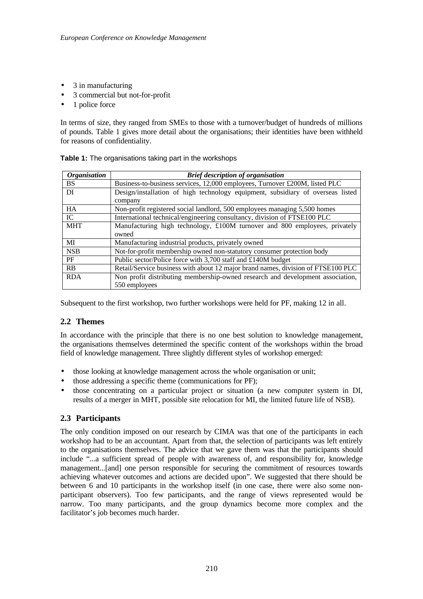- 3 in manufacturing
- 3 commercial but not-for-profit
- 1 police force

In terms of size, they ranged from SMEs to those with a turnover/budget of hundreds of millions of pounds. Table 1 gives more detail about the organisations; their identities have been withheld for reasons of confidentiality.

| <b>Organisation</b> | <b>Brief description of organisation</b>                                         |  |  |  |
|---------------------|----------------------------------------------------------------------------------|--|--|--|
| <b>BS</b>           | Business-to-business services, 12,000 employees, Turnover £200M, listed PLC      |  |  |  |
| DI                  | Design/installation of high technology equipment, subsidiary of overseas listed  |  |  |  |
|                     | company                                                                          |  |  |  |
| HA                  | Non-profit registered social landlord, 500 employees managing 5,500 homes        |  |  |  |
| IC                  | International technical/engineering consultancy, division of FTSE100 PLC         |  |  |  |
| <b>MHT</b>          | Manufacturing high technology, £100M turnover and 800 employees, privately       |  |  |  |
|                     | owned                                                                            |  |  |  |
| MI                  | Manufacturing industrial products, privately owned                               |  |  |  |
| <b>NSB</b>          | Not-for-profit membership owned non-statutory consumer protection body           |  |  |  |
| PF                  | Public sector/Police force with 3,700 staff and £140M budget                     |  |  |  |
| <b>RB</b>           | Retail/Service business with about 12 major brand names, division of FTSE100 PLC |  |  |  |
| <b>RDA</b>          | Non profit distributing membership-owned research and development association,   |  |  |  |
|                     | 550 employees                                                                    |  |  |  |

| Table 1: The organisations taking part in the workshops |  |  |
|---------------------------------------------------------|--|--|
|                                                         |  |  |

Subsequent to the first workshop, two further workshops were held for PF, making 12 in all.

### **2.2 Themes**

In accordance with the principle that there is no one best solution to knowledge management, the organisations themselves determined the specific content of the workshops within the broad field of knowledge management. Three slightly different styles of workshop emerged:

- those looking at knowledge management across the whole organisation or unit;
- those addressing a specific theme (communications for PF);
- those concentrating on a particular project or situation (a new computer system in DI, results of a merger in MHT, possible site relocation for MI, the limited future life of NSB).

### **2.3 Participants**

The only condition imposed on our research by CIMA was that one of the participants in each workshop had to be an accountant. Apart from that, the selection of participants was left entirely to the organisations themselves. The advice that we gave them was that the participants should include "...a sufficient spread of people with awareness of, and responsibility for, knowledge management...[and] one person responsible for securing the commitment of resources towards achieving whatever outcomes and actions are decided upon". We suggested that there should be between 6 and 10 participants in the workshop itself (in one case, there were also some nonparticipant observers). Too few participants, and the range of views represented would be narrow. Too many participants, and the group dynamics become more complex and the facilitator's job becomes much harder.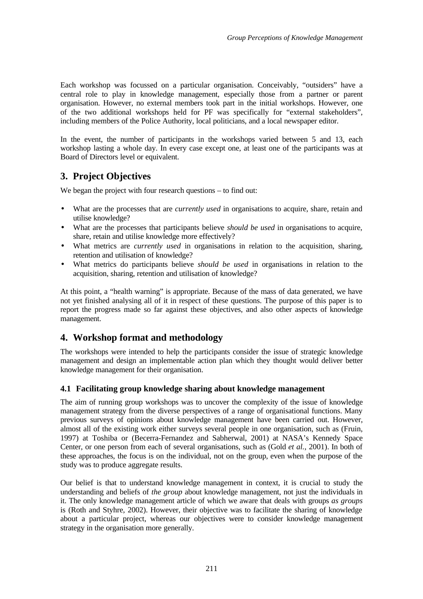Each workshop was focussed on a particular organisation. Conceivably, "outsiders" have a central role to play in knowledge management, especially those from a partner or parent organisation. However, no external members took part in the initial workshops. However, one of the two additional workshops held for PF was specifically for "external stakeholders", including members of the Police Authority, local politicians, and a local newspaper editor.

In the event, the number of participants in the workshops varied between 5 and 13, each workshop lasting a whole day. In every case except one, at least one of the participants was at Board of Directors level or equivalent.

# **3. Project Objectives**

We began the project with four research questions – to find out:

- What are the processes that are *currently used* in organisations to acquire, share, retain and utilise knowledge?
- What are the processes that participants believe *should be used* in organisations to acquire, share, retain and utilise knowledge more effectively?
- What metrics are *currently used* in organisations in relation to the acquisition, sharing, retention and utilisation of knowledge?
- What metrics do participants believe *should be used* in organisations in relation to the acquisition, sharing, retention and utilisation of knowledge?

At this point, a "health warning" is appropriate. Because of the mass of data generated, we have not yet finished analysing all of it in respect of these questions. The purpose of this paper is to report the progress made so far against these objectives, and also other aspects of knowledge management.

## **4. Workshop format and methodology**

The workshops were intended to help the participants consider the issue of strategic knowledge management and design an implementable action plan which they thought would deliver better knowledge management for their organisation.

### **4.1 Facilitating group knowledge sharing about knowledge management**

The aim of running group workshops was to uncover the complexity of the issue of knowledge management strategy from the diverse perspectives of a range of organisational functions. Many previous surveys of opinions about knowledge management have been carried out. However, almost all of the existing work either surveys several people in one organisation, such as (Fruin, 1997) at Toshiba or (Becerra-Fernandez and Sabherwal, 2001) at NASA's Kennedy Space Center, or one person from each of several organisations, such as (Gold *et al.*, 2001). In both of these approaches, the focus is on the individual, not on the group, even when the purpose of the study was to produce aggregate results.

Our belief is that to understand knowledge management in context, it is crucial to study the understanding and beliefs of *the group* about knowledge management, not just the individuals in it. The only knowledge management article of which we aware that deals with groups *as groups* is (Roth and Styhre, 2002). However, their objective was to facilitate the sharing of knowledge about a particular project, whereas our objectives were to consider knowledge management strategy in the organisation more generally.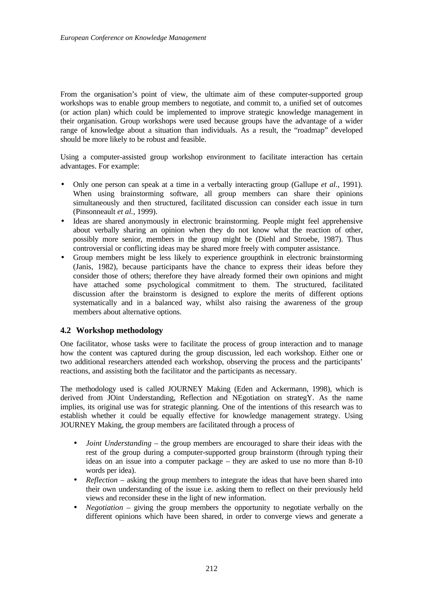From the organisation's point of view, the ultimate aim of these computer-supported group workshops was to enable group members to negotiate, and commit to, a unified set of outcomes (or action plan) which could be implemented to improve strategic knowledge management in their organisation. Group workshops were used because groups have the advantage of a wider range of knowledge about a situation than individuals. As a result, the "roadmap" developed should be more likely to be robust and feasible.

Using a computer-assisted group workshop environment to facilitate interaction has certain advantages. For example:

- Only one person can speak at a time in a verbally interacting group (Gallupe *et al.*, 1991). When using brainstorming software, all group members can share their opinions simultaneously and then structured, facilitated discussion can consider each issue in turn (Pinsonneault *et al.*, 1999).
- Ideas are shared anonymously in electronic brainstorming. People might feel apprehensive about verbally sharing an opinion when they do not know what the reaction of other, possibly more senior, members in the group might be (Diehl and Stroebe, 1987). Thus controversial or conflicting ideas may be shared more freely with computer assistance.
- Group members might be less likely to experience groupthink in electronic brainstorming (Janis, 1982), because participants have the chance to express their ideas before they consider those of others; therefore they have already formed their own opinions and might have attached some psychological commitment to them. The structured, facilitated discussion after the brainstorm is designed to explore the merits of different options systematically and in a balanced way, whilst also raising the awareness of the group members about alternative options.

#### **4.2 Workshop methodology**

One facilitator, whose tasks were to facilitate the process of group interaction and to manage how the content was captured during the group discussion, led each workshop. Either one or two additional researchers attended each workshop, observing the process and the participants' reactions, and assisting both the facilitator and the participants as necessary.

The methodology used is called JOURNEY Making (Eden and Ackermann, 1998), which is derived from JOint Understanding, Reflection and NEgotiation on strategY. As the name implies, its original use was for strategic planning. One of the intentions of this research was to establish whether it could be equally effective for knowledge management strategy. Using JOURNEY Making, the group members are facilitated through a process of

- *Joint Understanding*  the group members are encouraged to share their ideas with the rest of the group during a computer-supported group brainstorm (through typing their ideas on an issue into a computer package – they are asked to use no more than 8-10 words per idea).
- *Reflection* asking the group members to integrate the ideas that have been shared into their own understanding of the issue i.e. asking them to reflect on their previously held views and reconsider these in the light of new information.
- *Negotiation* giving the group members the opportunity to negotiate verbally on the different opinions which have been shared, in order to converge views and generate a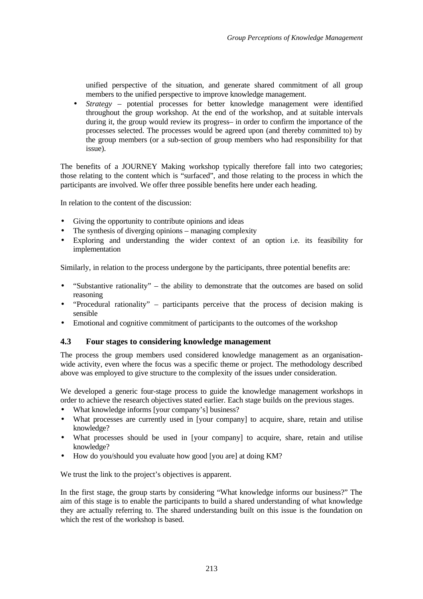unified perspective of the situation, and generate shared commitment of all group members to the unified perspective to improve knowledge management.

• *Strategy* – potential processes for better knowledge management were identified throughout the group workshop. At the end of the workshop, and at suitable intervals during it, the group would review its progress– in order to confirm the importance of the processes selected. The processes would be agreed upon (and thereby committed to) by the group members (or a sub-section of group members who had responsibility for that issue).

The benefits of a JOURNEY Making workshop typically therefore fall into two categories; those relating to the content which is "surfaced", and those relating to the process in which the participants are involved. We offer three possible benefits here under each heading.

In relation to the content of the discussion:

- Giving the opportunity to contribute opinions and ideas
- The synthesis of diverging opinions managing complexity
- Exploring and understanding the wider context of an option i.e. its feasibility for implementation

Similarly, in relation to the process undergone by the participants, three potential benefits are:

- "Substantive rationality" the ability to demonstrate that the outcomes are based on solid reasoning
- "Procedural rationality" participants perceive that the process of decision making is sensible
- Emotional and cognitive commitment of participants to the outcomes of the workshop

### **4.3 Four stages to considering knowledge management**

The process the group members used considered knowledge management as an organisationwide activity, even where the focus was a specific theme or project. The methodology described above was employed to give structure to the complexity of the issues under consideration.

We developed a generic four-stage process to guide the knowledge management workshops in order to achieve the research objectives stated earlier. Each stage builds on the previous stages.

- What knowledge informs [your company's] business?
- What processes are currently used in [your company] to acquire, share, retain and utilise knowledge?
- What processes should be used in [your company] to acquire, share, retain and utilise knowledge?
- How do you/should you evaluate how good [you are] at doing KM?

We trust the link to the project's objectives is apparent.

In the first stage, the group starts by considering "What knowledge informs our business?" The aim of this stage is to enable the participants to build a shared understanding of what knowledge they are actually referring to. The shared understanding built on this issue is the foundation on which the rest of the workshop is based.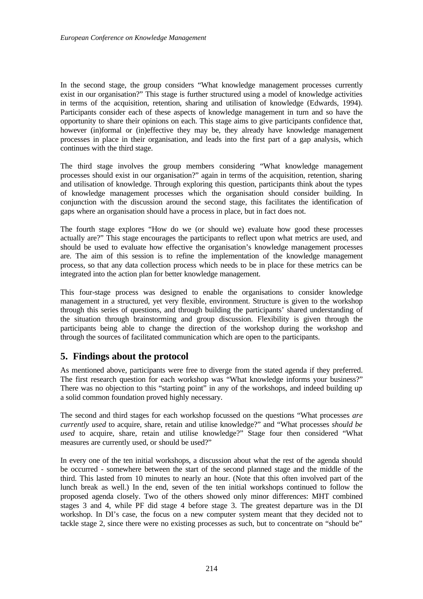In the second stage, the group considers "What knowledge management processes currently exist in our organisation?" This stage is further structured using a model of knowledge activities in terms of the acquisition, retention, sharing and utilisation of knowledge (Edwards, 1994). Participants consider each of these aspects of knowledge management in turn and so have the opportunity to share their opinions on each. This stage aims to give participants confidence that, however (in)formal or (in)effective they may be, they already have knowledge management processes in place in their organisation, and leads into the first part of a gap analysis, which continues with the third stage.

The third stage involves the group members considering "What knowledge management processes should exist in our organisation?" again in terms of the acquisition, retention, sharing and utilisation of knowledge. Through exploring this question, participants think about the types of knowledge management processes which the organisation should consider building. In conjunction with the discussion around the second stage, this facilitates the identification of gaps where an organisation should have a process in place, but in fact does not.

The fourth stage explores "How do we (or should we) evaluate how good these processes actually are?" This stage encourages the participants to reflect upon what metrics are used, and should be used to evaluate how effective the organisation's knowledge management processes are. The aim of this session is to refine the implementation of the knowledge management process, so that any data collection process which needs to be in place for these metrics can be integrated into the action plan for better knowledge management.

This four-stage process was designed to enable the organisations to consider knowledge management in a structured, yet very flexible, environment. Structure is given to the workshop through this series of questions, and through building the participants' shared understanding of the situation through brainstorming and group discussion. Flexibility is given through the participants being able to change the direction of the workshop during the workshop and through the sources of facilitated communication which are open to the participants.

# **5. Findings about the protocol**

As mentioned above, participants were free to diverge from the stated agenda if they preferred. The first research question for each workshop was "What knowledge informs your business?" There was no objection to this "starting point" in any of the workshops, and indeed building up a solid common foundation proved highly necessary.

The second and third stages for each workshop focussed on the questions "What processes *are currently used* to acquire, share, retain and utilise knowledge?" and "What processes *should be used* to acquire, share, retain and utilise knowledge?" Stage four then considered "What measures are currently used, or should be used?"

In every one of the ten initial workshops, a discussion about what the rest of the agenda should be occurred - somewhere between the start of the second planned stage and the middle of the third. This lasted from 10 minutes to nearly an hour. (Note that this often involved part of the lunch break as well.) In the end, seven of the ten initial workshops continued to follow the proposed agenda closely. Two of the others showed only minor differences: MHT combined stages 3 and 4, while PF did stage 4 before stage 3. The greatest departure was in the DI workshop. In DI's case, the focus on a new computer system meant that they decided not to tackle stage 2, since there were no existing processes as such, but to concentrate on "should be"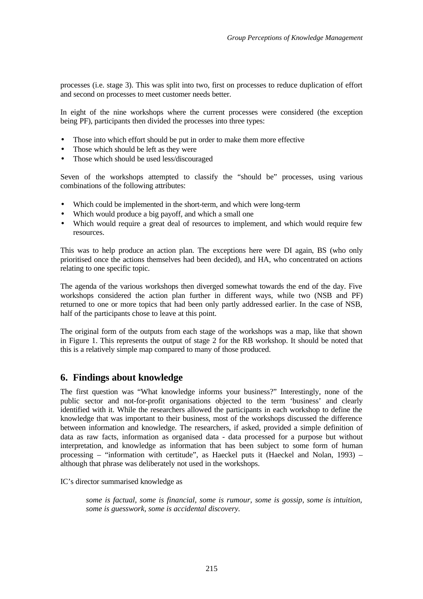processes (i.e. stage 3). This was split into two, first on processes to reduce duplication of effort and second on processes to meet customer needs better.

In eight of the nine workshops where the current processes were considered (the exception being PF), participants then divided the processes into three types:

- Those into which effort should be put in order to make them more effective
- Those which should be left as they were
- Those which should be used less/discouraged

Seven of the workshops attempted to classify the "should be" processes, using various combinations of the following attributes:

- Which could be implemented in the short-term, and which were long-term
- Which would produce a big payoff, and which a small one
- Which would require a great deal of resources to implement, and which would require few resources.

This was to help produce an action plan. The exceptions here were DI again, BS (who only prioritised once the actions themselves had been decided), and HA, who concentrated on actions relating to one specific topic.

The agenda of the various workshops then diverged somewhat towards the end of the day. Five workshops considered the action plan further in different ways, while two (NSB and PF) returned to one or more topics that had been only partly addressed earlier. In the case of NSB, half of the participants chose to leave at this point.

The original form of the outputs from each stage of the workshops was a map, like that shown in Figure 1. This represents the output of stage 2 for the RB workshop. It should be noted that this is a relatively simple map compared to many of those produced.

## **6. Findings about knowledge**

The first question was "What knowledge informs your business?" Interestingly, none of the public sector and not-for-profit organisations objected to the term 'business' and clearly identified with it. While the researchers allowed the participants in each workshop to define the knowledge that was important to their business, most of the workshops discussed the difference between information and knowledge. The researchers, if asked, provided a simple definition of data as raw facts, information as organised data - data processed for a purpose but without interpretation, and knowledge as information that has been subject to some form of human processing – "information with certitude", as Haeckel puts it (Haeckel and Nolan, 1993) – although that phrase was deliberately not used in the workshops.

IC's director summarised knowledge as

*some is factual, some is financial, some is rumour, some is gossip, some is intuition, some is guesswork, some is accidental discovery.*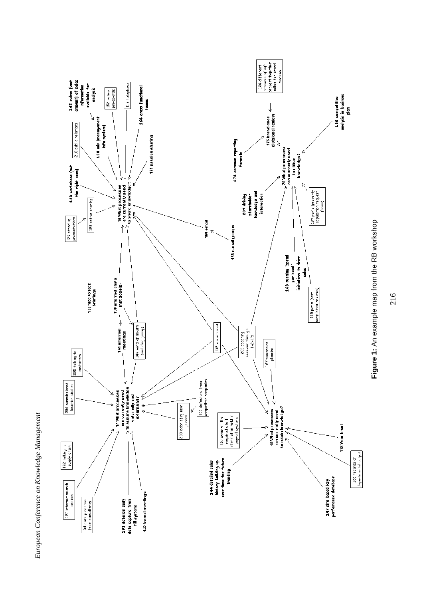





216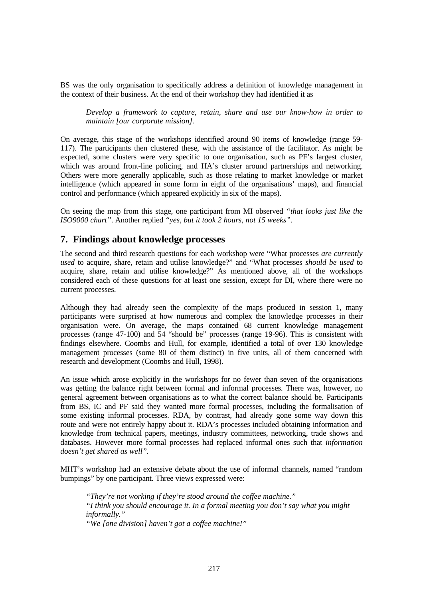BS was the only organisation to specifically address a definition of knowledge management in the context of their business. At the end of their workshop they had identified it as

*Develop a framework to capture, retain, share and use our know-how in order to maintain [our corporate mission].*

On average, this stage of the workshops identified around 90 items of knowledge (range 59- 117). The participants then clustered these, with the assistance of the facilitator. As might be expected, some clusters were very specific to one organisation, such as PF's largest cluster, which was around front-line policing, and HA's cluster around partnerships and networking. Others were more generally applicable, such as those relating to market knowledge or market intelligence (which appeared in some form in eight of the organisations' maps), and financial control and performance (which appeared explicitly in six of the maps).

On seeing the map from this stage, one participant from MI observed *"that looks just like the ISO9000 chart"*. Another replied *"yes, but it took 2 hours, not 15 weeks".*

## **7. Findings about knowledge processes**

The second and third research questions for each workshop were "What processes *are currently used* to acquire, share, retain and utilise knowledge?" and "What processes *should be used* to acquire, share, retain and utilise knowledge?" As mentioned above, all of the workshops considered each of these questions for at least one session, except for DI, where there were no current processes.

Although they had already seen the complexity of the maps produced in session 1, many participants were surprised at how numerous and complex the knowledge processes in their organisation were. On average, the maps contained 68 current knowledge management processes (range 47-100) and 54 "should be" processes (range 19-96). This is consistent with findings elsewhere. Coombs and Hull, for example, identified a total of over 130 knowledge management processes (some 80 of them distinct) in five units, all of them concerned with research and development (Coombs and Hull, 1998).

An issue which arose explicitly in the workshops for no fewer than seven of the organisations was getting the balance right between formal and informal processes. There was, however, no general agreement between organisations as to what the correct balance should be. Participants from BS, IC and PF said they wanted more formal processes, including the formalisation of some existing informal processes. RDA, by contrast, had already gone some way down this route and were not entirely happy about it. RDA's processes included obtaining information and knowledge from technical papers, meetings, industry committees, networking, trade shows and databases. However more formal processes had replaced informal ones such that *information doesn't get shared as well".*

MHT's workshop had an extensive debate about the use of informal channels, named "random bumpings" by one participant. Three views expressed were:

*"They're not working if they're stood around the coffee machine." "I think you should encourage it. In a formal meeting you don't say what you might informally."*

*"We [one division] haven't got a coffee machine!"*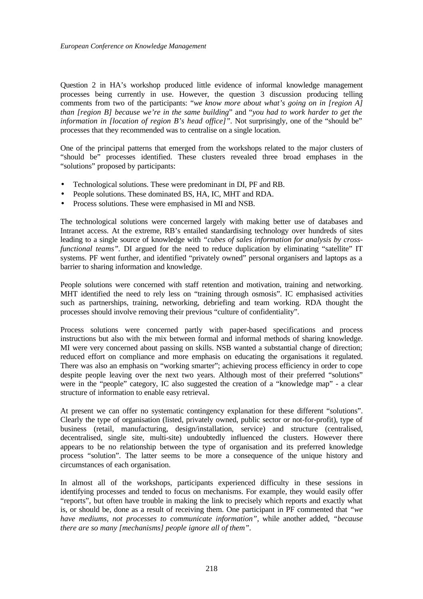Question 2 in HA's workshop produced little evidence of informal knowledge management processes being currently in use. However, the question 3 discussion producing telling comments from two of the participants: "*we know more about what's going on in [region A] than [region B] because we're in the same building*" and "*you had to work harder to get the information in [location of region B's head office]".* Not surprisingly, one of the "should be" processes that they recommended was to centralise on a single location.

One of the principal patterns that emerged from the workshops related to the major clusters of "should be" processes identified. These clusters revealed three broad emphases in the "solutions" proposed by participants:

- Technological solutions. These were predominant in DI, PF and RB.
- People solutions. These dominated BS, HA, IC, MHT and RDA.
- Process solutions. These were emphasised in MI and NSB.

The technological solutions were concerned largely with making better use of databases and Intranet access. At the extreme, RB's entailed standardising technology over hundreds of sites leading to a single source of knowledge with *"cubes of sales information for analysis by crossfunctional teams*". DI argued for the need to reduce duplication by eliminating "satellite" IT systems. PF went further, and identified "privately owned" personal organisers and laptops as a barrier to sharing information and knowledge.

People solutions were concerned with staff retention and motivation, training and networking. MHT identified the need to rely less on "training through osmosis". IC emphasised activities such as partnerships, training, networking, debriefing and team working. RDA thought the processes should involve removing their previous "culture of confidentiality".

Process solutions were concerned partly with paper-based specifications and process instructions but also with the mix between formal and informal methods of sharing knowledge. MI were very concerned about passing on skills. NSB wanted a substantial change of direction; reduced effort on compliance and more emphasis on educating the organisations it regulated. There was also an emphasis on "working smarter"; achieving process efficiency in order to cope despite people leaving over the next two years. Although most of their preferred "solutions" were in the "people" category, IC also suggested the creation of a "knowledge map" - a clear structure of information to enable easy retrieval.

At present we can offer no systematic contingency explanation for these different "solutions". Clearly the type of organisation (listed, privately owned, public sector or not-for-profit), type of business (retail, manufacturing, design/installation, service) and structure (centralised, decentralised, single site, multi-site) undoubtedly influenced the clusters. However there appears to be no relationship between the type of organisation and its preferred knowledge process "solution". The latter seems to be more a consequence of the unique history and circumstances of each organisation.

In almost all of the workshops, participants experienced difficulty in these sessions in identifying processes and tended to focus on mechanisms. For example, they would easily offer "reports", but often have trouble in making the link to precisely which reports and exactly what is, or should be, done as a result of receiving them. One participant in PF commented that *"we have mediums, not processes to communicate information"*, while another added, *"because there are so many [mechanisms] people ignore all of them".*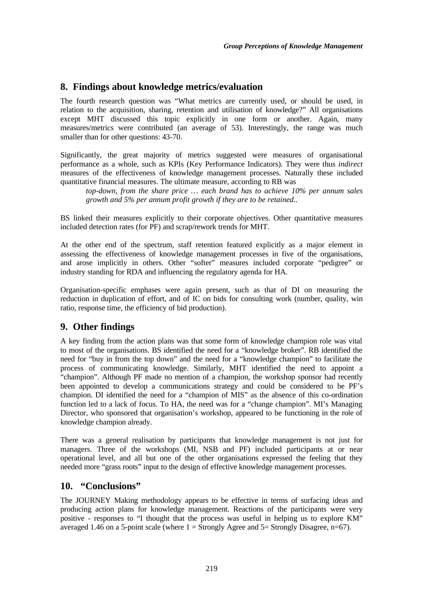# **8. Findings about knowledge metrics/evaluation**

The fourth research question was "What metrics are currently used, or should be used, in relation to the acquisition, sharing, retention and utilisation of knowledge?" All organisations except MHT discussed this topic explicitly in one form or another. Again, many measures/metrics were contributed (an average of 53). Interestingly, the range was much smaller than for other questions: 43-70.

Significantly, the great majority of metrics suggested were measures of organisational performance as a whole, such as KPIs (Key Performance Indicators). They were thus *indirect* measures of the effectiveness of knowledge management processes. Naturally these included quantitative financial measures. The ultimate measure, according to RB was

*top-down, from the share price … each brand has to achieve 10% per annum sales growth and 5% per annum profit growth if they are to be retained..*

BS linked their measures explicitly to their corporate objectives. Other quantitative measures included detection rates (for PF) and scrap/rework trends for MHT.

At the other end of the spectrum, staff retention featured explicitly as a major element in assessing the effectiveness of knowledge management processes in five of the organisations, and arose implicitly in others. Other "softer" measures included corporate "pedigree" or industry standing for RDA and influencing the regulatory agenda for HA.

Organisation-specific emphases were again present, such as that of DI on measuring the reduction in duplication of effort, and of IC on bids for consulting work (number, quality, win ratio, response time, the efficiency of bid production).

# **9. Other findings**

A key finding from the action plans was that some form of knowledge champion role was vital to most of the organisations. BS identified the need for a "knowledge broker". RB identified the need for "buy in from the top down" and the need for a "knowledge champion" to facilitate the process of communicating knowledge. Similarly, MHT identified the need to appoint a "champion". Although PF made no mention of a champion, the workshop sponsor had recently been appointed to develop a communications strategy and could be considered to be PF's champion. DI identified the need for a "champion of MIS" as the absence of this co-ordination function led to a lack of focus. To HA, the need was for a "change champion". MI's Managing Director, who sponsored that organisation's workshop, appeared to be functioning in the role of knowledge champion already.

There was a general realisation by participants that knowledge management is not just for managers. Three of the workshops (MI, NSB and PF) included participants at or near operational level, and all but one of the other organisations expressed the feeling that they needed more "grass roots" input to the design of effective knowledge management processes.

## **10. "Conclusions"**

The JOURNEY Making methodology appears to be effective in terms of surfacing ideas and producing action plans for knowledge management. Reactions of the participants were very positive - responses to "I thought that the process was useful in helping us to explore KM" averaged 1.46 on a 5-point scale (where  $1 =$  Strongly Agree and  $5 =$  Strongly Disagree, n=67).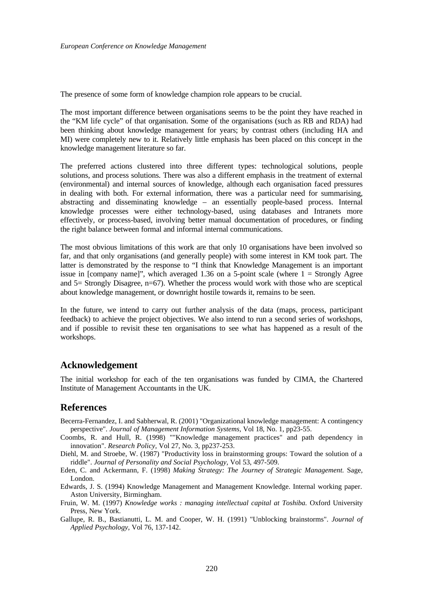The presence of some form of knowledge champion role appears to be crucial.

The most important difference between organisations seems to be the point they have reached in the "KM life cycle" of that organisation. Some of the organisations (such as RB and RDA) had been thinking about knowledge management for years; by contrast others (including HA and MI) were completely new to it. Relatively little emphasis has been placed on this concept in the knowledge management literature so far.

The preferred actions clustered into three different types: technological solutions, people solutions, and process solutions. There was also a different emphasis in the treatment of external (environmental) and internal sources of knowledge, although each organisation faced pressures in dealing with both. For external information, there was a particular need for summarising, abstracting and disseminating knowledge – an essentially people-based process. Internal knowledge processes were either technology-based, using databases and Intranets more effectively, or process-based, involving better manual documentation of procedures, or finding the right balance between formal and informal internal communications.

The most obvious limitations of this work are that only 10 organisations have been involved so far, and that only organisations (and generally people) with some interest in KM took part. The latter is demonstrated by the response to "I think that Knowledge Management is an important issue in [company name]", which averaged 1.36 on a 5-point scale (where 1 = Strongly Agree and 5= Strongly Disagree, n=67). Whether the process would work with those who are sceptical about knowledge management, or downright hostile towards it, remains to be seen.

In the future, we intend to carry out further analysis of the data (maps, process, participant feedback) to achieve the project objectives. We also intend to run a second series of workshops, and if possible to revisit these ten organisations to see what has happened as a result of the workshops.

### **Acknowledgement**

The initial workshop for each of the ten organisations was funded by CIMA, the Chartered Institute of Management Accountants in the UK.

## **References**

- Becerra-Fernandez, I. and Sabherwal, R. (2001) "Organizational knowledge management: A contingency perspective". *Journal of Management Information Systems,* Vol 18, No. 1, pp23-55.
- Coombs, R. and Hull, R. (1998) ""Knowledge management practices" and path dependency in innovation". *Research Policy,* Vol 27, No. 3, pp237-253.
- Diehl, M. and Stroebe, W. (1987) "Productivity loss in brainstorming groups: Toward the solution of a riddle". *Journal of Personality and Social Psychology,* Vol 53, 497-509.
- Eden, C. and Ackermann, F. (1998) *Making Strategy: The Journey of Strategic Management.* Sage, London.
- Edwards, J. S. (1994) Knowledge Management and Management Knowledge. Internal working paper. Aston University, Birmingham.
- Fruin, W. M. (1997) *Knowledge works : managing intellectual capital at Toshiba.* Oxford University Press, New York.
- Gallupe, R. B., Bastianutti, L. M. and Cooper, W. H. (1991) "Unblocking brainstorms". *Journal of Applied Psychology,* Vol 76, 137-142.